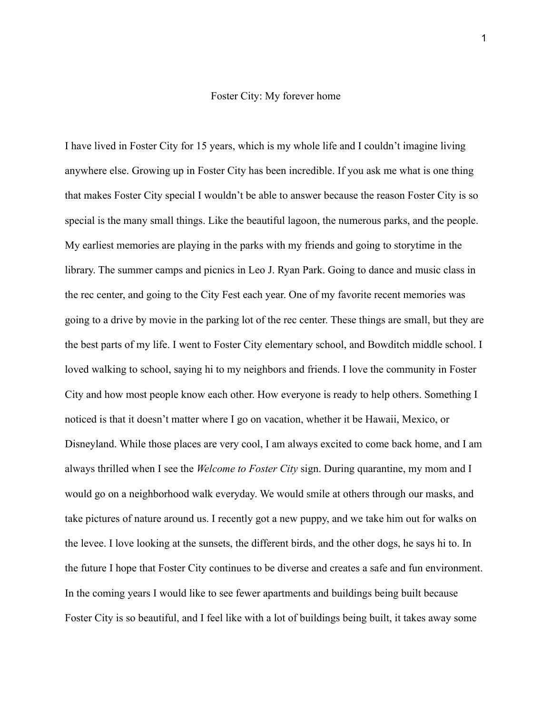## Foster City: My forever home

I have lived in Foster City for 15 years, which is my whole life and I couldn't imagine living anywhere else. Growing up in Foster City has been incredible. If you ask me what is one thing that makes Foster City special I wouldn't be able to answer because the reason Foster City is so special is the many small things. Like the beautiful lagoon, the numerous parks, and the people. My earliest memories are playing in the parks with my friends and going to storytime in the library. The summer camps and picnics in Leo J. Ryan Park. Going to dance and music class in the rec center, and going to the City Fest each year. One of my favorite recent memories was going to a drive by movie in the parking lot of the rec center. These things are small, but they are the best parts of my life. I went to Foster City elementary school, and Bowditch middle school. I loved walking to school, saying hi to my neighbors and friends. I love the community in Foster City and how most people know each other. How everyone is ready to help others. Something I noticed is that it doesn't matter where I go on vacation, whether it be Hawaii, Mexico, or Disneyland. While those places are very cool, I am always excited to come back home, and I am always thrilled when I see the *Welcome to Foster City* sign. During quarantine, my mom and I would go on a neighborhood walk everyday. We would smile at others through our masks, and take pictures of nature around us. I recently got a new puppy, and we take him out for walks on the levee. I love looking at the sunsets, the different birds, and the other dogs, he says hi to. In the future I hope that Foster City continues to be diverse and creates a safe and fun environment. In the coming years I would like to see fewer apartments and buildings being built because Foster City is so beautiful, and I feel like with a lot of buildings being built, it takes away some